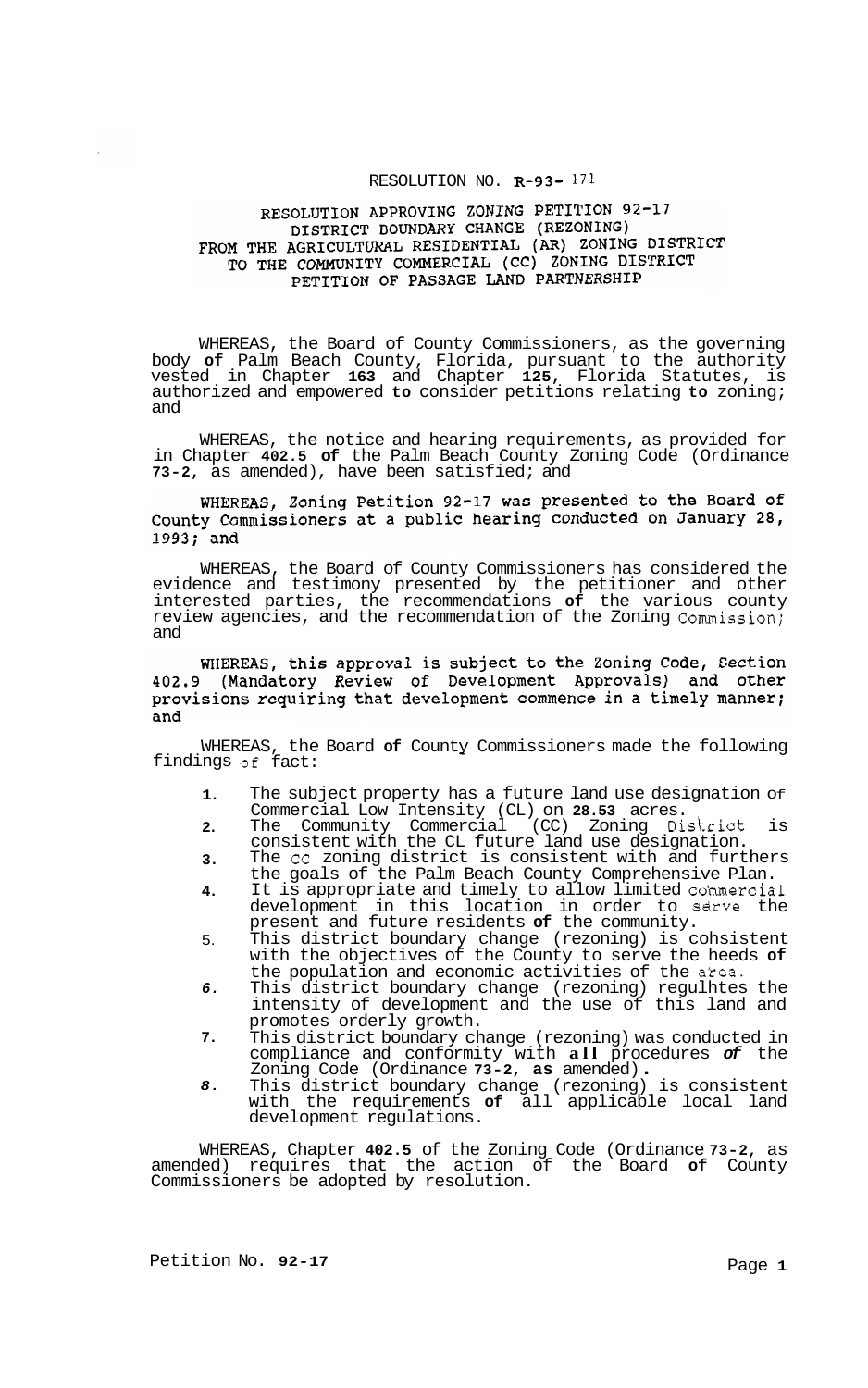### RESOLUTION NO. **R-93-** 171

### RESOLUTION APPROVING ZONING PETITION 92-17 DISTRICT BOUNDARY CHANGE (REZONING) FROM THE AGRICULTURAL RESIDENTIAL (AR) ZONING DISTRICT TO THE COMMUNITY COMMERCIAL (CC) ZONING DISTRICT PETITION OF PASSAGE LAND PARTNERSHIP

WHEREAS, the Board of County Commissioners, as the governing body **of** Palm Beach County, Florida, pursuant to the authority vested in Chapter **163** and Chapter **125,** Florida Statutes, is authorized and empowered **to** consider petitions relating **to** zoning; and

WHEREAS, the notice and hearing requirements, as provided for in Chapter **402.5 of** the Palm Beach County Zoning Code (Ordinance **73-2,** as amended), have been satisfied; and

### WHEREAS, Zoning Petition 92-17 was presented to the Board of County Commissioners at a public hearing conducted on January 28, 1993; and

WHEREAS, the Board of County Commissioners has considered the evidence and testimony presented by the petitioner and other interested parties, the recommendations **of** the various county review agencies, and the recommendation of the Zoning Commission; and

WHEREAS, this approval is subject to the Zoning Code, Section 402.9 (Mandatory Review of Development Approvals) and other provisions requiring that development commence in a timely manner; and

WHEREAS, the Board **of** County Commissioners made the following findings of fact:

- **1.**  The subject property has a future land use designation of Commercial Low Intensity (CL) on **28.53** acres.
- **2.**  The Community Commercial (CC) Zoning District is consistent with the CL future land use designation.
- **3.**  The cc zoning district is consistent with and furthers the goals of the Palm Beach County Comprehensive Plan.
- **4.**  It is appropriate and timely to allow limited commercial development in this location in order to sdrve the present and future residents **of** the community.
- 5. This district boundary change (rezoning) is cohsistent with the objectives of the County to serve the heeds **of**  the population and economic activities of the atea.
- *6.*  This district boundary change (rezoning) regulhtes the intensity of development and the use of this land and promotes orderly growth.
- **7.**  This district boundary change (rezoning) was conducted in compliance and conformity with **all** procedures *of* the Zoning Code (Ordinance **73-2, as** amended) . This district boundary change (rezoning) is consistent
- *8.*  This district boundary change (rezoning) is consistent<br>with the requirements of all applicable local land development regulations.

WHEREAS, Chapter **402.5** of the Zoning Code (Ordinance **73-2,** as amended) requires that the action of the Board **of** County Commissioners be adopted by resolution.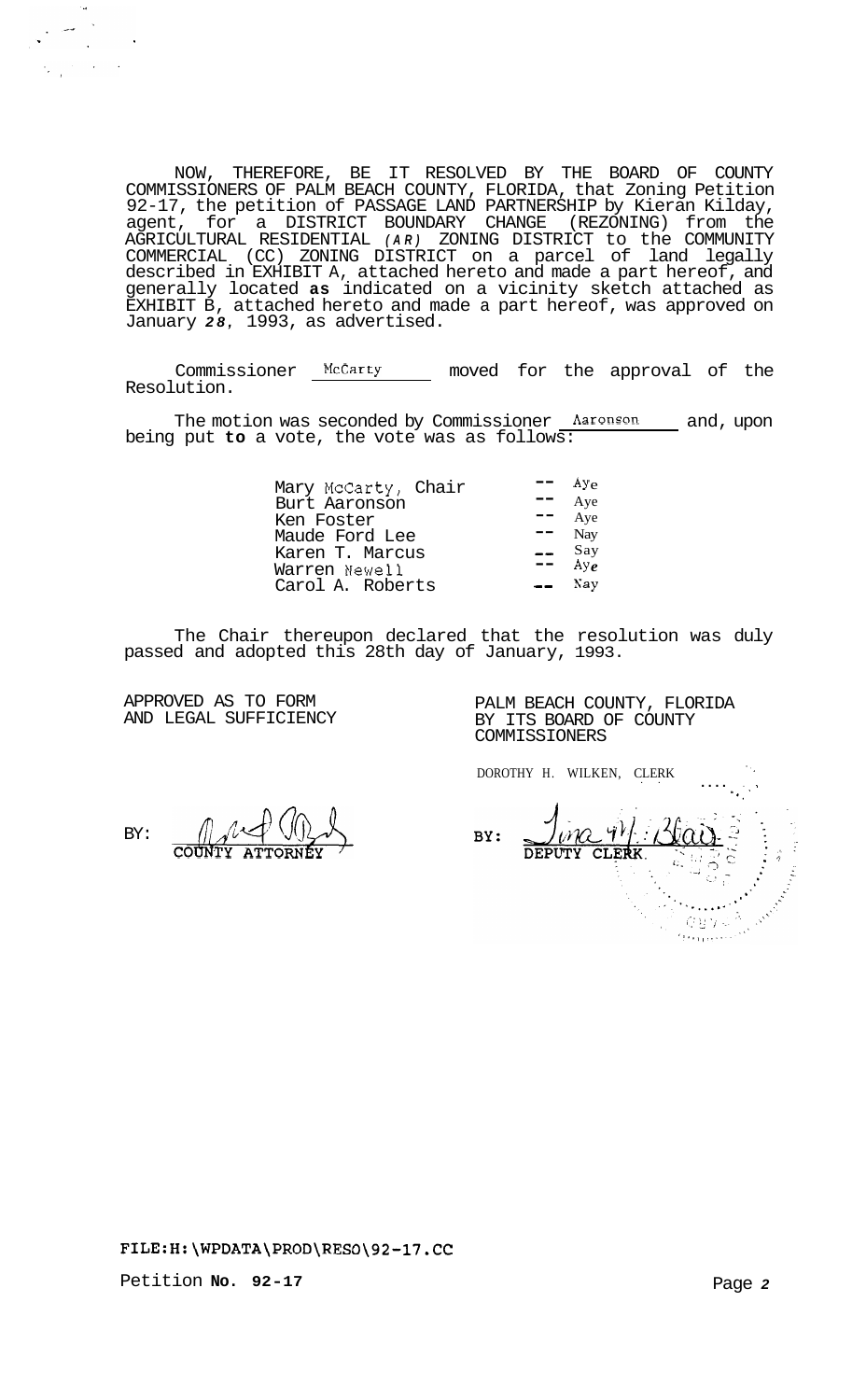NOW, THEREFORE, BE IT RESOLVED BY THE BOARD OF COUNTY COMMISSIONERS OF PALM BEACH COUNTY, FLORIDA, that Zoning Petition 92-17, the petition of PASSAGE LAND PARTNERSHIP by Kieran Kilday, agent, for a DISTRICT BOUNDARY CHANGE (REZONING) from the AGRICULTURAL RESIDENTIAL *(AR)* ZONING DISTRICT to the COMMUNITY COMMERCIAL (CC) ZONING DISTRICT on a parcel of land legally described in EXHIBIT A, attached hereto and made a part hereof, and generally located **as** indicated on a vicinity sketch attached as EXHIBIT B, attached hereto and made a part hereof, was approved on January *28,* 1993, as advertised.

Commissioner McCarty moved for the approval of the Resolution.

The motion was seconded by Commissioner <u>Aaronson and</u>, upon being put **to** a vote, the vote was as follows:

The Chair thereupon declared that the resolution was duly passed and adopted this 28th day of January, 1993.

APPROVED AS TO FORM AND LEGAL SUFFICIENCY

 $\sim 10$ 

 $\frac{1}{2}\sum_{i=1}^n\frac{1}{2}\left(\frac{1}{2}\right)^2\left(\frac{1}{2}\right)^2\left(\frac{1}{2}\right)^2\left(\frac{1}{2}\right)^2.$ 

PALM BEACH COUNTY, FLORIDA BY ITS BOARD OF COUNTY COMMISSIONERS

DOROTHY H. WILKEN, CLERK ....

., ', **<sup>1</sup>** BY: CLERK **DEPUTY**  $Q \boxtimes Q \triangleleft$ 

# BY: **COUNTY**

## **<FILE:H:\WPDATA\PROD\RESO\92-17.CC>**

Petition **No. 92-17**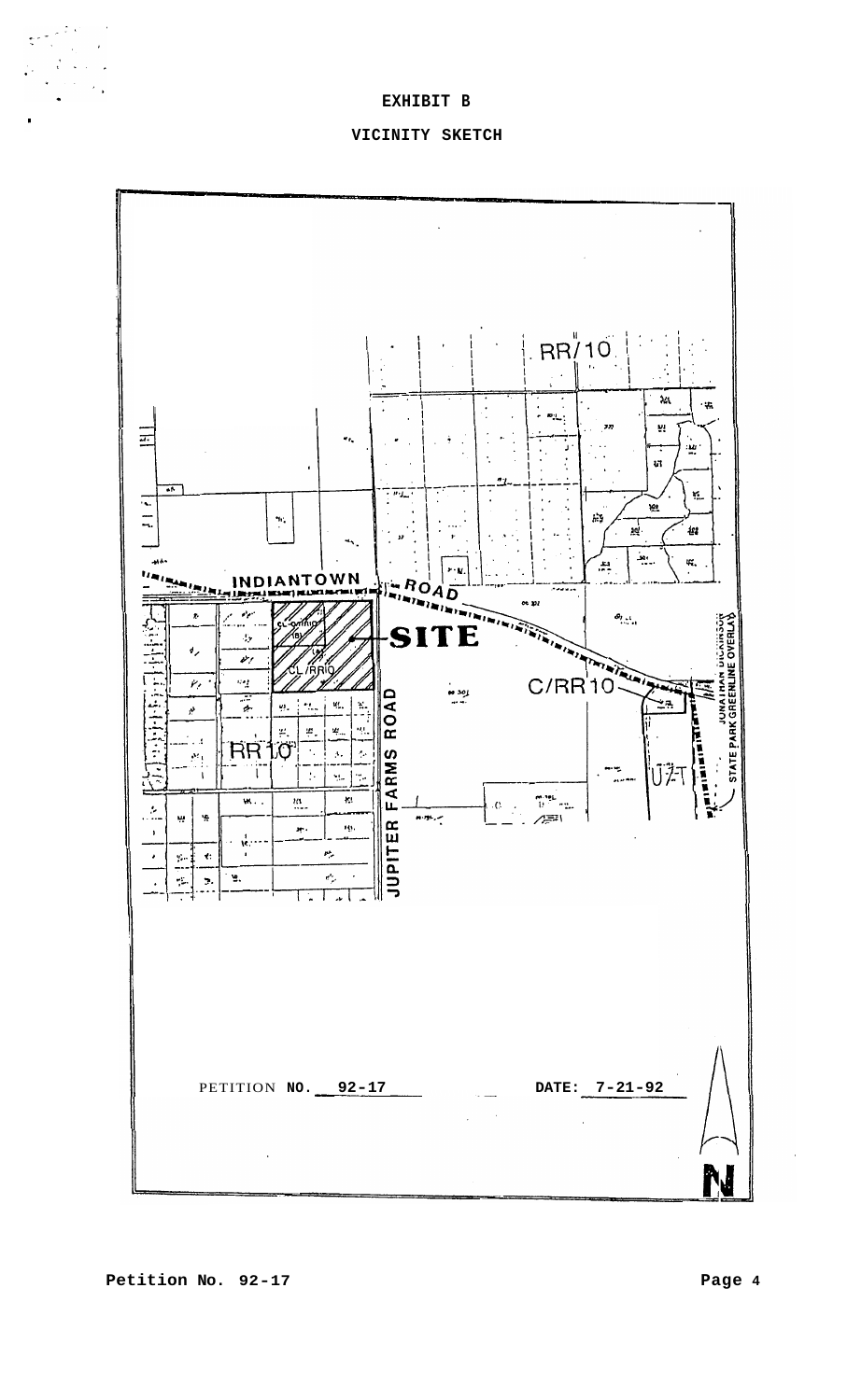### **EXHIBIT B**

 $\frac{1}{\sqrt{2}}\frac{1}{\sqrt{2}}\sum_{i=1}^{n}\frac{1}{\sqrt{2}}\frac{1}{\sqrt{2}}\sum_{i=1}^{n}\frac{1}{\sqrt{2}}\frac{1}{\sqrt{2}}\sum_{i=1}^{n}\frac{1}{\sqrt{2}}\frac{1}{\sqrt{2}}\sum_{i=1}^{n}\frac{1}{\sqrt{2}}\frac{1}{\sqrt{2}}\sum_{i=1}^{n}\frac{1}{\sqrt{2}}\frac{1}{\sqrt{2}}\sum_{i=1}^{n}\frac{1}{\sqrt{2}}\frac{1}{\sqrt{2}}\sum_{i=1}^{n}\frac{1}{\sqrt{2}}\frac{1}{\sqrt$ 

#### **VICINITY SKETCH**